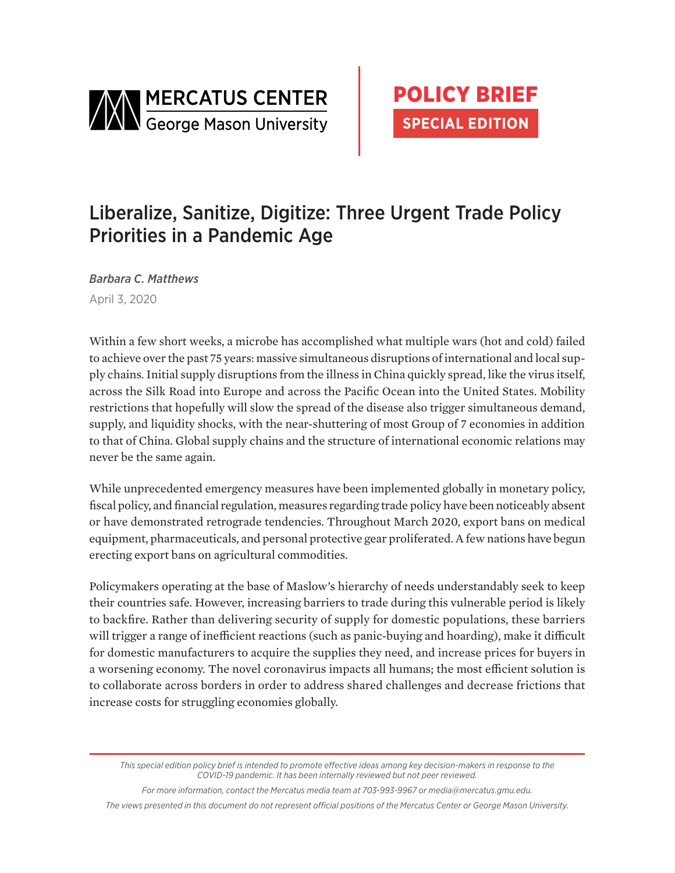

# Liberalize, Sanitize, Digitize: Three Urgent Trade Policy Priorities in a Pandemic Age

*Barbara C. Matthews* April 3, 2020

Within a few short weeks, a microbe has accomplished what multiple wars (hot and cold) failed to achieve over the past 75 years: massive simultaneous disruptions of international and local supply chains. Initial supply disruptions from the illness in China quickly spread, like the virus itself, across the Silk Road into Europe and across the Pacific Ocean into the United States. Mobility restrictions that hopefully will slow the spread of the disease also trigger simultaneous demand, supply, and liquidity shocks, with the near-shuttering of most Group of 7 economies in addition to that of China. Global supply chains and the structure of international economic relations may never be the same again.

While unprecedented emergency measures have been implemented globally in monetary policy, fiscal policy, and financial regulation, measures regarding trade policy have been noticeably absent or have demonstrated retrograde tendencies. Throughout March 2020, export bans on medical equipment, pharmaceuticals, and personal protective gear proliferated. A few nations have begun erecting export bans on agricultural commodities.

Policymakers operating at the base of Maslow's hierarchy of needs understandably seek to keep their countries safe. However, increasing barriers to trade during this vulnerable period is likely to backfire. Rather than delivering security of supply for domestic populations, these barriers will trigger a range of inefficient reactions (such as panic-buying and hoarding), make it difficult for domestic manufacturers to acquire the supplies they need, and increase prices for buyers in a worsening economy. The novel coronavirus impacts all humans; the most efficient solution is to collaborate across borders in order to address shared challenges and decrease frictions that increase costs for struggling economies globally.

*This special edition policy brief is intended to promote effective ideas among key decision-makers in response to the COVID-19 pandemic. It has been internally reviewed but not peer reviewed.*

*For more information, contact the Mercatus media team at 703-993-9967 or media@mercatus.gmu.edu. The views presented in this document do not represent official positions of the Mercatus Center or George Mason University.*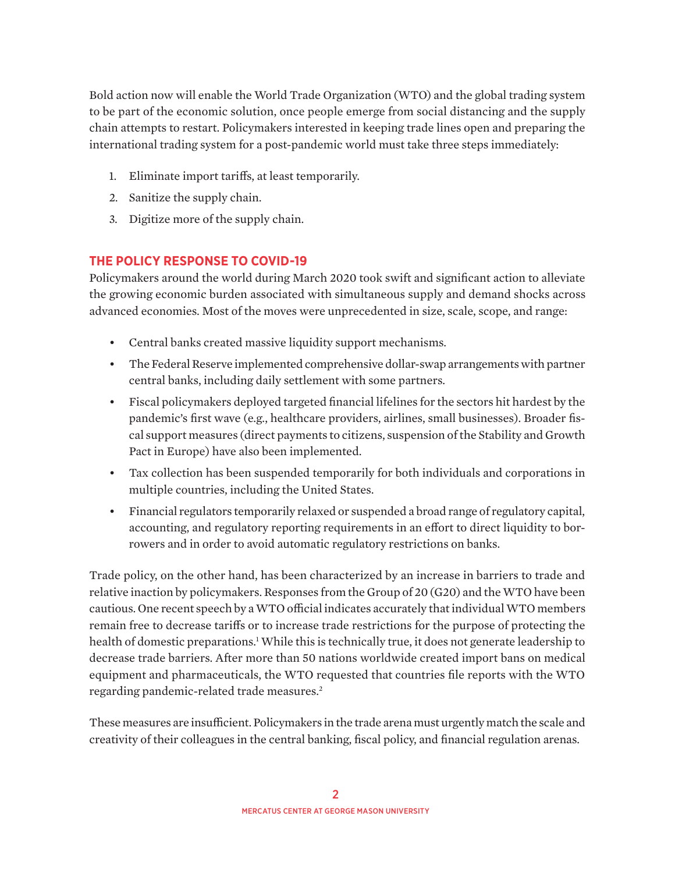Bold action now will enable the World Trade Organization (WTO) and the global trading system to be part of the economic solution, once people emerge from social distancing and the supply chain attempts to restart. Policymakers interested in keeping trade lines open and preparing the international trading system for a post-pandemic world must take three steps immediately:

- 1. Eliminate import tariffs, at least temporarily.
- 2. Sanitize the supply chain.
- 3. Digitize more of the supply chain.

## **THE POLICY RESPONSE TO COVID-19**

Policymakers around the world during March 2020 took swift and significant action to alleviate the growing economic burden associated with simultaneous supply and demand shocks across advanced economies. Most of the moves were unprecedented in size, scale, scope, and range:

- Central banks created massive liquidity support mechanisms.
- The Federal Reserve implemented comprehensive dollar-swap arrangements with partner central banks, including daily settlement with some partners.
- Fiscal policymakers deployed targeted financial lifelines for the sectors hit hardest by the pandemic's first wave (e.g., healthcare providers, airlines, small businesses). Broader fiscal support measures (direct payments to citizens, suspension of the Stability and Growth Pact in Europe) have also been implemented.
- Tax collection has been suspended temporarily for both individuals and corporations in multiple countries, including the United States.
- Financial regulators temporarily relaxed or suspended a broad range of regulatory capital, accounting, and regulatory reporting requirements in an effort to direct liquidity to borrowers and in order to avoid automatic regulatory restrictions on banks.

Trade policy, on the other hand, has been characterized by an increase in barriers to trade and relative inaction by policymakers. Responses from the Group of 20 (G20) and the WTO have been cautious. One recent speech by a WTO official indicates accurately that individual WTO members remain free to decrease tariffs or to increase trade restrictions for the purpose of protecting the health of domestic preparations.<sup>1</sup> While this is technically true, it does not generate leadership to decrease trade barriers. After more than 50 nations worldwide created import bans on medical equipment and pharmaceuticals, the WTO requested that countries file reports with the WTO regarding pandemic-related trade measures.<sup>2</sup>

These measures are insufficient. Policymakers in the trade arena must urgently match the scale and creativity of their colleagues in the central banking, fiscal policy, and financial regulation arenas.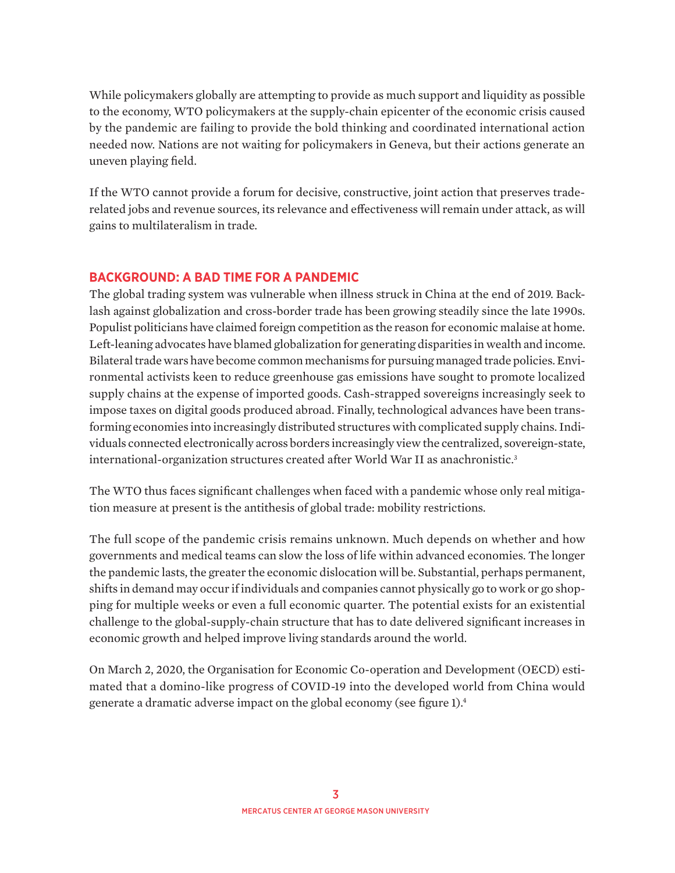While policymakers globally are attempting to provide as much support and liquidity as possible to the economy, WTO policymakers at the supply-chain epicenter of the economic crisis caused by the pandemic are failing to provide the bold thinking and coordinated international action needed now. Nations are not waiting for policymakers in Geneva, but their actions generate an uneven playing field.

If the WTO cannot provide a forum for decisive, constructive, joint action that preserves traderelated jobs and revenue sources, its relevance and effectiveness will remain under attack, as will gains to multilateralism in trade.

## **BACKGROUND: A BAD TIME FOR A PANDEMIC**

The global trading system was vulnerable when illness struck in China at the end of 2019. Backlash against globalization and cross-border trade has been growing steadily since the late 1990s. Populist politicians have claimed foreign competition as the reason for economic malaise at home. Left-leaning advocates have blamed globalization for generating disparities in wealth and income. Bilateral trade wars have become common mechanisms for pursuing managed trade policies. Environmental activists keen to reduce greenhouse gas emissions have sought to promote localized supply chains at the expense of imported goods. Cash-strapped sovereigns increasingly seek to impose taxes on digital goods produced abroad. Finally, technological advances have been transforming economies into increasingly distributed structures with complicated supply chains. Individuals connected electronically across borders increasingly view the centralized, sovereign-state, international-organization structures created after World War II as anachronistic. $3$ 

The WTO thus faces significant challenges when faced with a pandemic whose only real mitigation measure at present is the antithesis of global trade: mobility restrictions.

The full scope of the pandemic crisis remains unknown. Much depends on whether and how governments and medical teams can slow the loss of life within advanced economies. The longer the pandemic lasts, the greater the economic dislocation will be. Substantial, perhaps permanent, shifts in demand may occur if individuals and companies cannot physically go to work or go shopping for multiple weeks or even a full economic quarter. The potential exists for an existential challenge to the global-supply-chain structure that has to date delivered significant increases in economic growth and helped improve living standards around the world.

On March 2, 2020, the Organisation for Economic Co-operation and Development (OECD) estimated that a domino-like progress of COVID-19 into the developed world from China would generate a dramatic adverse impact on the global economy (see figure 1).4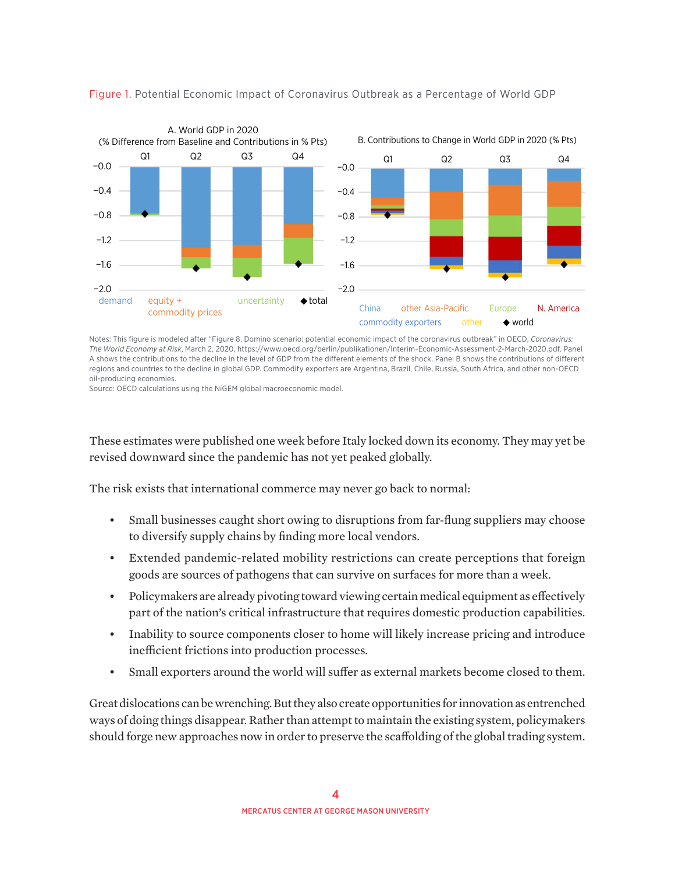

#### Figure 1. Potential Economic Impact of Coronavirus Outbreak as a Percentage of World GDP

Notes: This figure is modeled after "Figure 8. Domino scenario: potential economic impact of the coronavirus outbreak" in OECD, *Coronavirus: The World Economy at Risk*, March 2, 2020[, https://www.oecd.org/berlin/publikationen/Interim-Economic-Assessment-2-March-2020.pdf](https://www.oecd.org/berlin/publikationen/Interim-Economic-Assessment-2-March-2020.pdf). Panel A shows the contributions to the decline in the level of GDP from the different elements of the shock. Panel B shows the contributions of different regions and countries to the decline in global GDP. Commodity exporters are Argentina, Brazil, Chile, Russia, South Africa, and other non-OECD oil-producing economies.

Source: OECD calculations using the NiGEM global macroeconomic model.

These estimates were published one week before Italy locked down its economy. They may yet be revised downward since the pandemic has not yet peaked globally.

The risk exists that international commerce may never go back to normal:

- Small businesses caught short owing to disruptions from far-flung suppliers may choose to diversify supply chains by finding more local vendors.
- Extended pandemic-related mobility restrictions can create perceptions that foreign goods are sources of pathogens that can survive on surfaces for more than a week.
- Policymakers are already pivoting toward viewing certain medical equipment as effectively part of the nation's critical infrastructure that requires domestic production capabilities.
- Inability to source components closer to home will likely increase pricing and introduce inefficient frictions into production processes.
- Small exporters around the world will suffer as external markets become closed to them.

Great dislocations can be wrenching. But they also create opportunities for innovation as entrenched ways of doing things disappear. Rather than attempt to maintain the existing system, policymakers should forge new approaches now in order to preserve the scaffolding of the global trading system.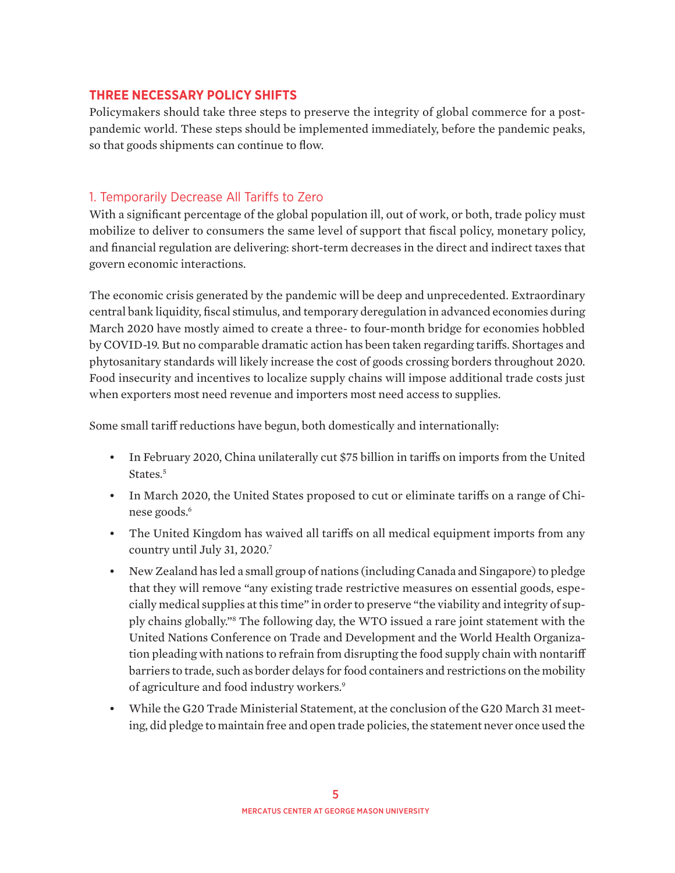#### **THREE NECESSARY POLICY SHIFTS**

Policymakers should take three steps to preserve the integrity of global commerce for a postpandemic world. These steps should be implemented immediately, before the pandemic peaks, so that goods shipments can continue to flow.

## 1. Temporarily Decrease All Tariffs to Zero

With a significant percentage of the global population ill, out of work, or both, trade policy must mobilize to deliver to consumers the same level of support that fiscal policy, monetary policy, and financial regulation are delivering: short-term decreases in the direct and indirect taxes that govern economic interactions.

The economic crisis generated by the pandemic will be deep and unprecedented. Extraordinary central bank liquidity, fiscal stimulus, and temporary deregulation in advanced economies during March 2020 have mostly aimed to create a three- to four-month bridge for economies hobbled by COVID-19. But no comparable dramatic action has been taken regarding tariffs. Shortages and phytosanitary standards will likely increase the cost of goods crossing borders throughout 2020. Food insecurity and incentives to localize supply chains will impose additional trade costs just when exporters most need revenue and importers most need access to supplies.

Some small tariff reductions have begun, both domestically and internationally:

- In February 2020, China unilaterally cut \$75 billion in tariffs on imports from the United States.<sup>5</sup>
- In March 2020, the United States proposed to cut or eliminate tariffs on a range of Chinese goods.<sup>6</sup>
- The United Kingdom has waived all tariffs on all medical equipment imports from any country until July 31, 2020.7
- New Zealand has led a small group of nations (including Canada and Singapore) to pledge that they will remove "any existing trade restrictive measures on essential goods, especially medical supplies at this time" in order to preserve "the viability and integrity of supply chains globally."8 The following day, the WTO issued a rare joint statement with the United Nations Conference on Trade and Development and the World Health Organization pleading with nations to refrain from disrupting the food supply chain with nontariff barriers to trade, such as border delays for food containers and restrictions on the mobility of agriculture and food industry workers.<sup>9</sup>
- While the G20 Trade Ministerial Statement, at the conclusion of the G20 March 31 meeting, did pledge to maintain free and open trade policies, the statement never once used the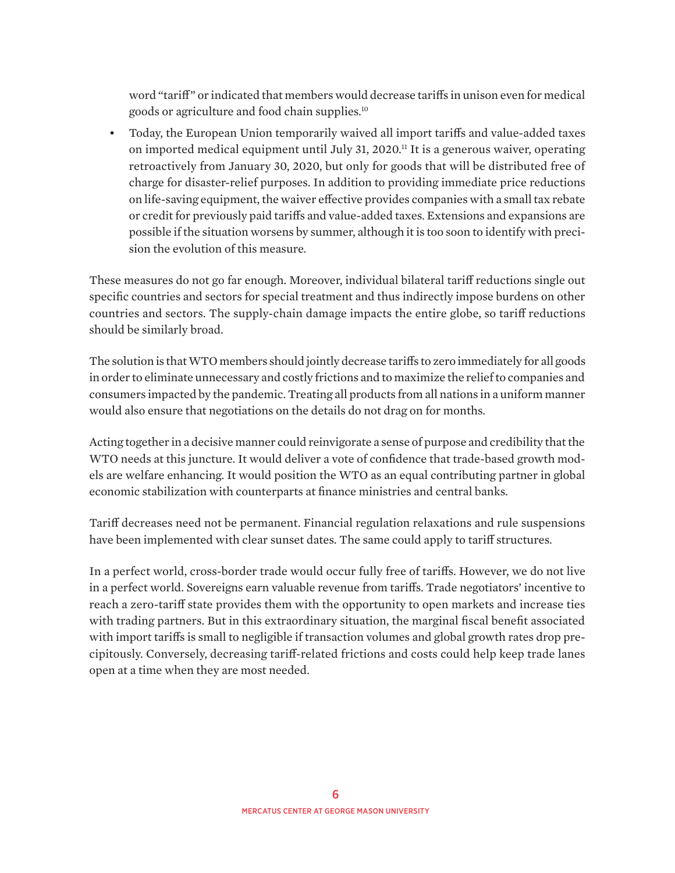word "tariff" or indicated that members would decrease tariffs in unison even for medical goods or agriculture and food chain supplies.10

• Today, the European Union temporarily waived all import tariffs and value-added taxes on imported medical equipment until July 31, 2020.<sup>11</sup> It is a generous waiver, operating retroactively from January 30, 2020, but only for goods that will be distributed free of charge for disaster-relief purposes. In addition to providing immediate price reductions on life-saving equipment, the waiver effective provides companies with a small tax rebate or credit for previously paid tariffs and value-added taxes. Extensions and expansions are possible if the situation worsens by summer, although it is too soon to identify with precision the evolution of this measure.

These measures do not go far enough. Moreover, individual bilateral tariff reductions single out specific countries and sectors for special treatment and thus indirectly impose burdens on other countries and sectors. The supply-chain damage impacts the entire globe, so tariff reductions should be similarly broad.

The solution is that WTO members should jointly decrease tariffs to zero immediately for all goods in order to eliminate unnecessary and costly frictions and to maximize the relief to companies and consumers impacted by the pandemic. Treating all products from all nations in a uniform manner would also ensure that negotiations on the details do not drag on for months.

Acting together in a decisive manner could reinvigorate a sense of purpose and credibility that the WTO needs at this juncture. It would deliver a vote of confidence that trade-based growth models are welfare enhancing. It would position the WTO as an equal contributing partner in global economic stabilization with counterparts at finance ministries and central banks.

Tariff decreases need not be permanent. Financial regulation relaxations and rule suspensions have been implemented with clear sunset dates. The same could apply to tariff structures.

In a perfect world, cross-border trade would occur fully free of tariffs. However, we do not live in a perfect world. Sovereigns earn valuable revenue from tariffs. Trade negotiators' incentive to reach a zero-tariff state provides them with the opportunity to open markets and increase ties with trading partners. But in this extraordinary situation, the marginal fiscal benefit associated with import tariffs is small to negligible if transaction volumes and global growth rates drop precipitously. Conversely, decreasing tariff-related frictions and costs could help keep trade lanes open at a time when they are most needed.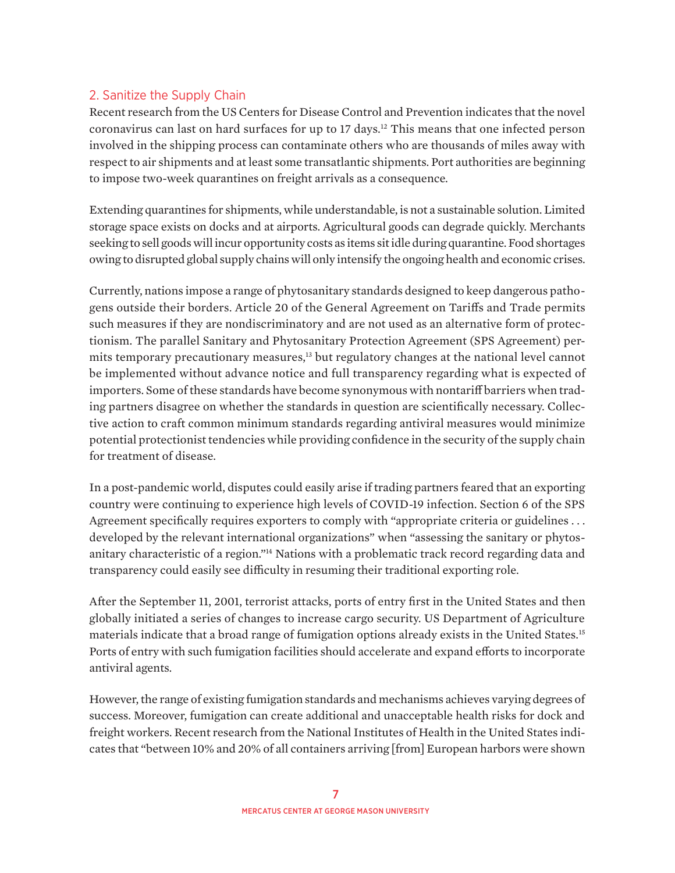## 2. Sanitize the Supply Chain

Recent research from the US Centers for Disease Control and Prevention indicates that the novel coronavirus can last on hard surfaces for up to 17 days.12 This means that one infected person involved in the shipping process can contaminate others who are thousands of miles away with respect to air shipments and at least some transatlantic shipments. Port authorities are beginning to impose two-week quarantines on freight arrivals as a consequence.

Extending quarantines for shipments, while understandable, is not a sustainable solution. Limited storage space exists on docks and at airports. Agricultural goods can degrade quickly. Merchants seeking to sell goods will incur opportunity costs as items sit idle during quarantine. Food shortages owing to disrupted global supply chains will only intensify the ongoing health and economic crises.

Currently, nations impose a range of phytosanitary standards designed to keep dangerous pathogens outside their borders. Article 20 of the General Agreement on Tariffs and Trade permits such measures if they are nondiscriminatory and are not used as an alternative form of protectionism. The parallel Sanitary and Phytosanitary Protection Agreement (SPS Agreement) permits temporary precautionary measures,<sup>13</sup> but regulatory changes at the national level cannot be implemented without advance notice and full transparency regarding what is expected of importers. Some of these standards have become synonymous with nontariff barriers when trading partners disagree on whether the standards in question are scientifically necessary. Collective action to craft common minimum standards regarding antiviral measures would minimize potential protectionist tendencies while providing confidence in the security of the supply chain for treatment of disease.

In a post-pandemic world, disputes could easily arise if trading partners feared that an exporting country were continuing to experience high levels of COVID-19 infection. Section 6 of the SPS Agreement specifically requires exporters to comply with "appropriate criteria or guidelines ... developed by the relevant international organizations" when "assessing the sanitary or phytosanitary characteristic of a region."14 Nations with a problematic track record regarding data and transparency could easily see difficulty in resuming their traditional exporting role.

After the September 11, 2001, terrorist attacks, ports of entry first in the United States and then globally initiated a series of changes to increase cargo security. US Department of Agriculture materials indicate that a broad range of fumigation options already exists in the United States.15 Ports of entry with such fumigation facilities should accelerate and expand efforts to incorporate antiviral agents.

However, the range of existing fumigation standards and mechanisms achieves varying degrees of success. Moreover, fumigation can create additional and unacceptable health risks for dock and freight workers. Recent research from the National Institutes of Health in the United States indicates that "between 10% and 20% of all containers arriving [from] European harbors were shown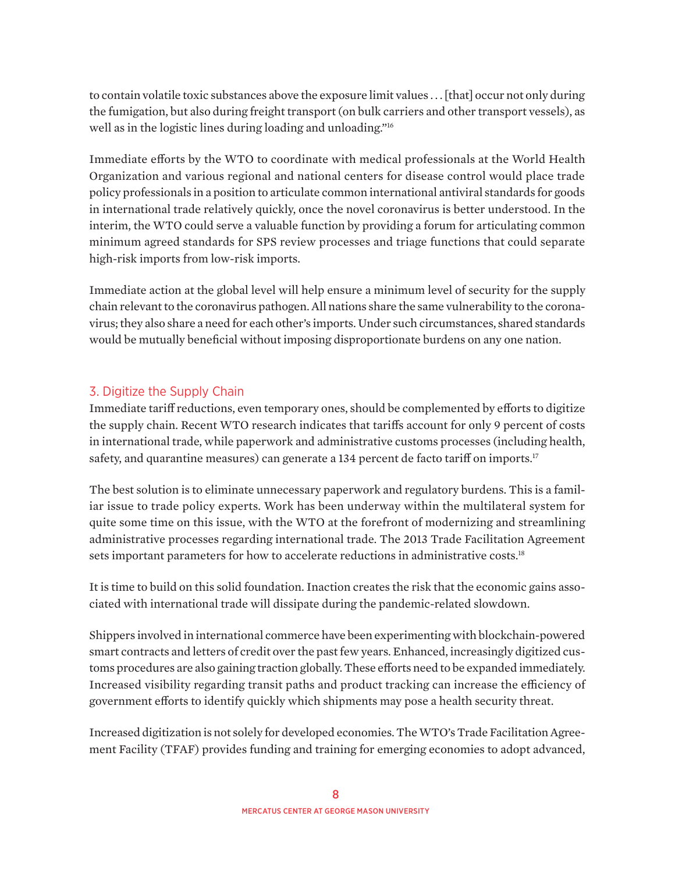to contain volatile toxic substances above the exposure limit values . . . [that] occur not only during the fumigation, but also during freight transport (on bulk carriers and other transport vessels), as well as in the logistic lines during loading and unloading."16

Immediate efforts by the WTO to coordinate with medical professionals at the World Health Organization and various regional and national centers for disease control would place trade policy professionals in a position to articulate common international antiviral standards for goods in international trade relatively quickly, once the novel coronavirus is better understood. In the interim, the WTO could serve a valuable function by providing a forum for articulating common minimum agreed standards for SPS review processes and triage functions that could separate high-risk imports from low-risk imports.

Immediate action at the global level will help ensure a minimum level of security for the supply chain relevant to the coronavirus pathogen. All nations share the same vulnerability to the coronavirus; they also share a need for each other's imports. Under such circumstances, shared standards would be mutually beneficial without imposing disproportionate burdens on any one nation.

## 3. Digitize the Supply Chain

Immediate tariff reductions, even temporary ones, should be complemented by efforts to digitize the supply chain. Recent WTO research indicates that tariffs account for only 9 percent of costs in international trade, while paperwork and administrative customs processes (including health, safety, and quarantine measures) can generate a 134 percent de facto tariff on imports.<sup>17</sup>

The best solution is to eliminate unnecessary paperwork and regulatory burdens. This is a familiar issue to trade policy experts. Work has been underway within the multilateral system for quite some time on this issue, with the WTO at the forefront of modernizing and streamlining administrative processes regarding international trade. The 2013 Trade Facilitation Agreement sets important parameters for how to accelerate reductions in administrative costs.<sup>18</sup>

It is time to build on this solid foundation. Inaction creates the risk that the economic gains associated with international trade will dissipate during the pandemic-related slowdown.

Shippers involved in international commerce have been experimenting with blockchain-powered smart contracts and letters of credit over the past few years. Enhanced, increasingly digitized customs procedures are also gaining traction globally. These efforts need to be expanded immediately. Increased visibility regarding transit paths and product tracking can increase the efficiency of government efforts to identify quickly which shipments may pose a health security threat.

Increased digitization is not solely for developed economies. The WTO's Trade Facilitation Agreement Facility (TFAF) provides funding and training for emerging economies to adopt advanced,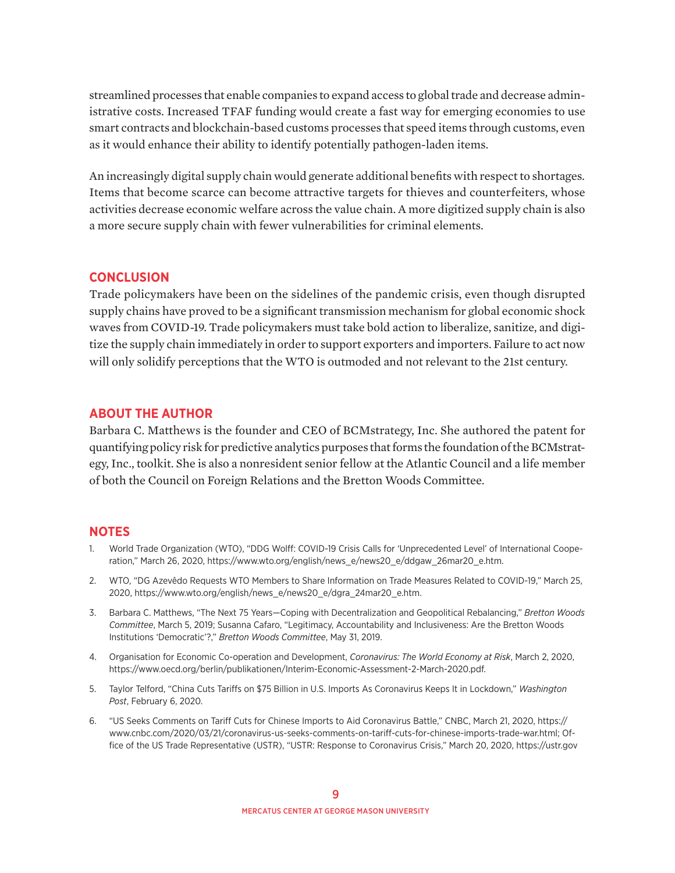streamlined processes that enable companies to expand access to global trade and decrease administrative costs. Increased TFAF funding would create a fast way for emerging economies to use smart contracts and blockchain-based customs processes that speed items through customs, even as it would enhance their ability to identify potentially pathogen-laden items.

An increasingly digital supply chain would generate additional benefits with respect to shortages. Items that become scarce can become attractive targets for thieves and counterfeiters, whose activities decrease economic welfare across the value chain. A more digitized supply chain is also a more secure supply chain with fewer vulnerabilities for criminal elements.

#### **CONCLUSION**

Trade policymakers have been on the sidelines of the pandemic crisis, even though disrupted supply chains have proved to be a significant transmission mechanism for global economic shock waves from COVID-19. Trade policymakers must take bold action to liberalize, sanitize, and digitize the supply chain immediately in order to support exporters and importers. Failure to act now will only solidify perceptions that the WTO is outmoded and not relevant to the 21st century.

#### **ABOUT THE AUTHOR**

Barbara C. Matthews is the founder and CEO of BCMstrategy, Inc. She authored the patent for quantifying policy risk for predictive analytics purposes that forms the foundation of the BCMstrategy, Inc., toolkit. She is also a nonresident senior fellow at the Atlantic Council and a life member of both the Council on Foreign Relations and the Bretton Woods Committee.

#### **NOTES**

- 1. World Trade Organizati[on \(WTO\), "DDG Wolff: COVID-19 Crisis Calls for 'Unprecedented Level' of I](https://www.wto.org/english/news_e/news20_e/ddgaw_26mar20_e.htm)nternational Cooperation," March 26, 2020, https://www.wto.org/english/news\_e/news20\_e/ddgaw\_26mar20\_e.htm.
- 2. WTO, ["DG Azevêdo Requests WTO Members to Share Information on Trade M](https://www.wto.org/english/news_e/news20_e/dgra_24mar20_e.htm)easures Related to COVID-19," March 25, 2020, https://www.wto.org/english/news\_e/news20\_e/dgra\_24mar20\_e.htm.
- 3. Barbara C. Matthews, "The Next 75 Years—Coping with Decentralization and Geopolitical Rebalancing," *Bretton Woods Committee*, March 5, 2019; Susanna Cafaro, "Legitimacy, Accountability and Inclusiveness: Are the Bretton Woods Institutions 'Democratic'?," *Bretton Woods Committee*, May 31, 2019.
- 4. Organisation for Economic Co-operation and Development, *Coronavirus: The World Economy at Risk*, March 2, 2020, [https://www.oecd.org/berlin/publikationen/Interim-Economic-Assessment-2-March-2020.pdf.](https://www.oecd.org/berlin/publikationen/Interim-Economic-Assessment-2-March-2020.pdf)
- 5. Taylor Telford, "China Cuts Tariffs on \$75 Billion in U.S. Imports As Coronavirus Keeps It in Lockdown," *Washington Post*, February 6, 2020.
- 6. "US Seeks Comments on Tariff Cuts for Chinese Imports to Aid Coronavirus Battle," CNBC, March 21, 2020, [https://](https://www.cnbc.com/2020/03/21/coronavirus-us-seeks-comments-on-tariff-cuts-for-chinese-imports-trade-war.html) [www.cnbc.com/2020/03/21/coronavirus-us-seeks-comments-on-tariff-cuts-for-chinese-imports-trade-war.html;](https://www.cnbc.com/2020/03/21/coronavirus-us-seeks-comments-on-tariff-cuts-for-chinese-imports-trade-war.html) Office of the US Trade Representative (USTR), "USTR: Response to Coronavirus Crisis," March 20, 2020, [https://ustr.gov](https://ustr.gov/about-us/policy-offices/press-office/press-releases/2020/march/ustr-response-coronavirus-crisis)